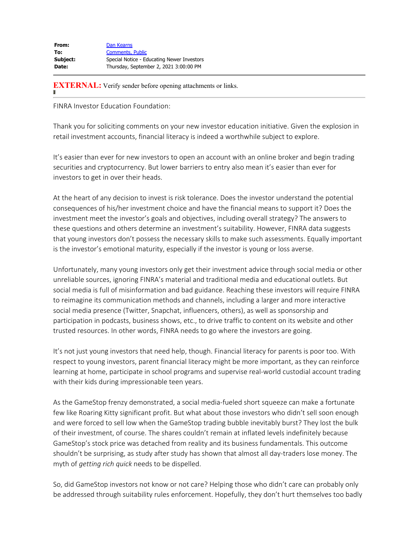| From:    | Dan Kearns                                 |
|----------|--------------------------------------------|
| To:      | <b>Comments, Public</b>                    |
| Subject: | Special Notice - Educating Newer Investors |
| Date:    | Thursday, September 2, 2021 3:00:00 PM     |

**EXTERNAL:** Verify sender before opening attachments or links.

FINRA Investor Education Foundation:

Thank you for soliciting comments on your new investor education initiative. Given the explosion in retail investment accounts, financial literacy is indeed a worthwhile subject to explore.

It's easier than ever for new investors to open an account with an online broker and begin trading securities and cryptocurrency. But lower barriers to entry also mean it's easier than ever for investors to get in over their heads.

At the heart of any decision to invest is risk tolerance. Does the investor understand the potential consequences of his/her investment choice and have the financial means to support it? Does the investment meet the investor's goals and objectives, including overall strategy? The answers to these questions and others determine an investment's suitability. However, FINRA data suggests that young investors don't possess the necessary skills to make such assessments. Equally important is the investor's emotional maturity, especially if the investor is young or loss averse.

Unfortunately, many young investors only get their investment advice through social media or other unreliable sources, ignoring FINRA's material and traditional media and educational outlets. But social media is full of misinformation and bad guidance. Reaching these investors will require FINRA to reimagine its communication methods and channels, including a larger and more interactive social media presence (Twitter, Snapchat, influencers, others), as well as sponsorship and participation in podcasts, business shows, etc., to drive traffic to content on its website and other trusted resources. In other words, FINRA needs to go where the investors are going.

It's not just young investors that need help, though. Financial literacy for parents is poor too. With respect to young investors, parent financial literacy might be more important, as they can reinforce learning at home, participate in school programs and supervise real-world custodial account trading with their kids during impressionable teen years.

As the GameStop frenzy demonstrated, a social media-fueled short squeeze can make a fortunate few like Roaring Kitty significant profit. But what about those investors who didn't sell soon enough and were forced to sell low when the GameStop trading bubble inevitably burst? They lost the bulk of their investment, of course. The shares couldn't remain at inflated levels indefinitely because GameStop's stock price was detached from reality and its business fundamentals. This outcome shouldn't be surprising, as study after study has shown that almost all day-traders lose money. The myth of *getting rich quick* needs to be dispelled.

So, did GameStop investors not know or not care? Helping those who didn't care can probably only be addressed through suitability rules enforcement. Hopefully, they don't hurt themselves too badly